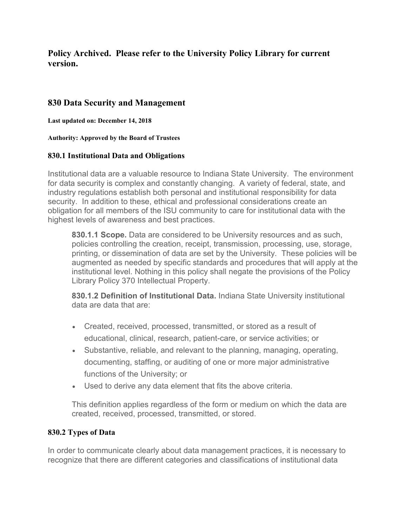# **Policy Archived. Please refer to the University Policy Library for current version.**

## **830 Data Security and Management**

**Last updated on: December 14, 2018**

**Authority: Approved by the Board of Trustees**

#### **830.1 Institutional Data and Obligations**

Institutional data are a valuable resource to Indiana State University. The environment for data security is complex and constantly changing. A variety of federal, state, and industry regulations establish both personal and institutional responsibility for data security. In addition to these, ethical and professional considerations create an obligation for all members of the ISU community to care for institutional data with the highest levels of awareness and best practices.

**830.1.1 Scope.** Data are considered to be University resources and as such, policies controlling the creation, receipt, transmission, processing, use, storage, printing, or dissemination of data are set by the University. These policies will be augmented as needed by specific standards and procedures that will apply at the institutional level. Nothing in this policy shall negate the provisions of the Policy Library Policy 370 Intellectual Property.

**830.1.2 Definition of Institutional Data.** Indiana State University institutional data are data that are:

- Created, received, processed, transmitted, or stored as a result of educational, clinical, research, patient-care, or service activities; or
- Substantive, reliable, and relevant to the planning, managing, operating, documenting, staffing, or auditing of one or more major administrative functions of the University; or
- Used to derive any data element that fits the above criteria.

This definition applies regardless of the form or medium on which the data are created, received, processed, transmitted, or stored.

### **830.2 Types of Data**

In order to communicate clearly about data management practices, it is necessary to recognize that there are different categories and classifications of institutional data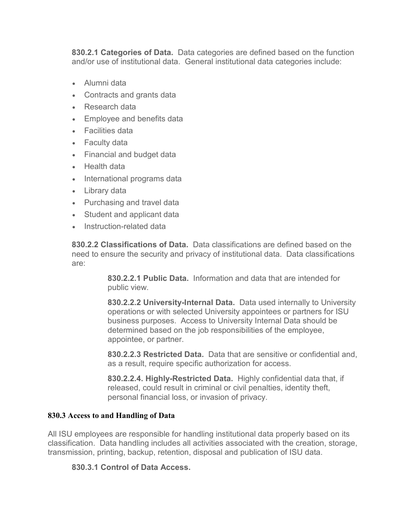**830.2.1 Categories of Data.** Data categories are defined based on the function and/or use of institutional data. General institutional data categories include:

- Alumni data
- Contracts and grants data
- Research data
- Employee and benefits data
- Facilities data
- Faculty data
- Financial and budget data
- Health data
- International programs data
- Library data
- Purchasing and travel data
- Student and applicant data
- Instruction-related data

**830.2.2 Classifications of Data.** Data classifications are defined based on the need to ensure the security and privacy of institutional data. Data classifications are:

> **830.2.2.1 Public Data.** Information and data that are intended for public view.

**830.2.2.2 University-Internal Data.** Data used internally to University operations or with selected University appointees or partners for ISU business purposes. Access to University Internal Data should be determined based on the job responsibilities of the employee, appointee, or partner.

**830.2.2.3 Restricted Data.** Data that are sensitive or confidential and, as a result, require specific authorization for access.

**830.2.2.4. Highly-Restricted Data.** Highly confidential data that, if released, could result in criminal or civil penalties, identity theft, personal financial loss, or invasion of privacy.

### **830.3 Access to and Handling of Data**

All ISU employees are responsible for handling institutional data properly based on its classification. Data handling includes all activities associated with the creation, storage, transmission, printing, backup, retention, disposal and publication of ISU data.

### **830.3.1 Control of Data Access.**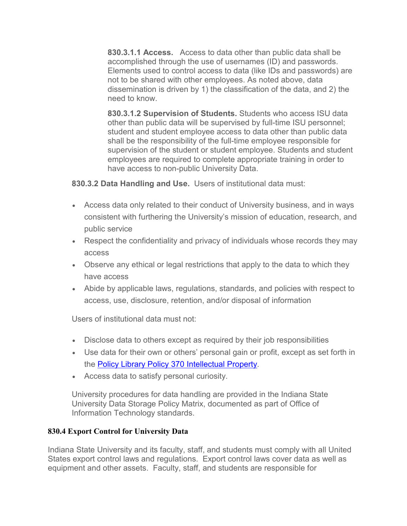**830.3.1.1 Access.** Access to data other than public data shall be accomplished through the use of usernames (ID) and passwords. Elements used to control access to data (like IDs and passwords) are not to be shared with other employees. As noted above, data dissemination is driven by 1) the classification of the data, and 2) the need to know.

**830.3.1.2 Supervision of Students.** Students who access ISU data other than public data will be supervised by full-time ISU personnel; student and student employee access to data other than public data shall be the responsibility of the full-time employee responsible for supervision of the student or student employee. Students and student employees are required to complete appropriate training in order to have access to non-public University Data.

**830.3.2 Data Handling and Use.** Users of institutional data must:

- Access data only related to their conduct of University business, and in ways consistent with furthering the University's mission of education, research, and public service
- Respect the confidentiality and privacy of individuals whose records they may access
- Observe any ethical or legal restrictions that apply to the data to which they have access
- Abide by applicable laws, regulations, standards, and policies with respect to access, use, disclosure, retention, and/or disposal of information

Users of institutional data must not:

- Disclose data to others except as required by their job responsibilities
- Use data for their own or others' personal gain or profit, except as set forth in the Policy Library [Policy 370 Intellectual Property.](http://www.indstate.edu/policy-library/intellectual-property)
- Access data to satisfy personal curiosity.

University procedures for data handling are provided in the Indiana State University Data Storage Policy Matrix, documented as part of Office of Information Technology standards.

## **830.4 Export Control for University Data**

Indiana State University and its faculty, staff, and students must comply with all United States export control laws and regulations. Export control laws cover data as well as equipment and other assets. Faculty, staff, and students are responsible for